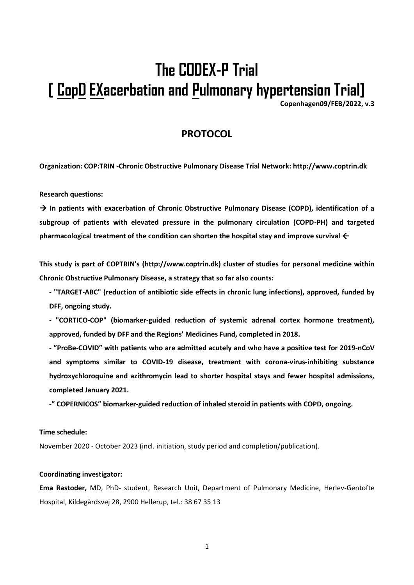# **The CODEX-P Trial [ CopD EXacerbation and Pulmonary hypertension Trial]**

**Copenhagen09/FEB/2022, v.3**

## **PROTOCOL**

**Organization: COP:TRIN -Chronic Obstructive Pulmonary Disease Trial Network: http://www.coptrin.dk**

**Research questions:**

→ **In patients with exacerbation of Chronic Obstructive Pulmonary Disease (COPD), identification of a subgroup of patients with elevated pressure in the pulmonary circulation (COPD-PH) and targeted**  pharmacological treatment of the condition can shorten the hospital stay and improve survival  $\leftarrow$ 

**This study is part of COPTRIN's (http://www.coptrin.dk) cluster of studies for personal medicine within Chronic Obstructive Pulmonary Disease, a strategy that so far also counts:** 

**- "TARGET-ABC" (reduction of antibiotic side effects in chronic lung infections), approved, funded by DFF, ongoing study.**

**- "CORTICO-COP" (biomarker-guided reduction of systemic adrenal cortex hormone treatment), approved, funded by DFF and the Regions' Medicines Fund, completed in 2018.**

**- "ProBe-COVID" with patients who are admitted acutely and who have a positive test for 2019-nCoV and symptoms similar to COVID-19 disease, treatment with corona-virus-inhibiting substance hydroxychloroquine and azithromycin lead to shorter hospital stays and fewer hospital admissions, completed January 2021.**

**-" COPERNICOS" biomarker-guided reduction of inhaled steroid in patients with COPD, ongoing.**

#### **Time schedule:**

November 2020 - October 2023 (incl. initiation, study period and completion/publication).

#### **Coordinating investigator:**

**Ema Rastoder,** MD, PhD- student, Research Unit, Department of Pulmonary Medicine, Herlev-Gentofte Hospital, Kildegårdsvej 28, 2900 Hellerup, tel.: 38 67 35 13

1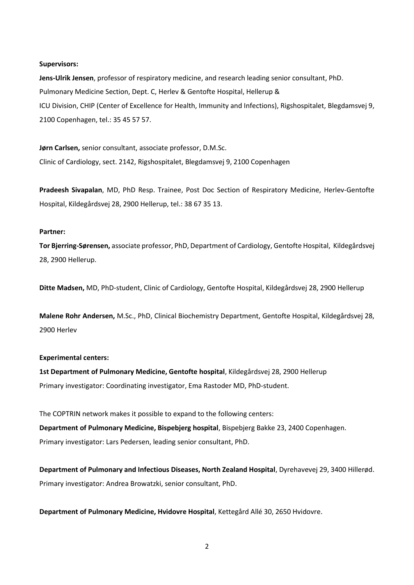#### **Supervisors:**

**Jens-Ulrik Jensen**, professor of respiratory medicine, and research leading senior consultant, PhD. Pulmonary Medicine Section, Dept. C, Herlev & Gentofte Hospital, Hellerup & ICU Division, CHIP (Center of Excellence for Health, Immunity and Infections), Rigshospitalet, Blegdamsvej 9, 2100 Copenhagen, tel.: 35 45 57 57.

**Jørn Carlsen,** senior consultant, associate professor, D.M.Sc. Clinic of Cardiology, sect. 2142, Rigshospitalet, Blegdamsvej 9, 2100 Copenhagen

**Pradeesh Sivapalan**, MD, PhD Resp. Trainee, Post Doc Section of Respiratory Medicine, Herlev-Gentofte Hospital, Kildegårdsvej 28, 2900 Hellerup, tel.: 38 67 35 13.

#### **Partner:**

**Tor Bjerring-Sørensen,** associate professor, PhD, Department of Cardiology, Gentofte Hospital, Kildegårdsvej 28, 2900 Hellerup.

**Ditte Madsen,** MD, PhD-student, Clinic of Cardiology, Gentofte Hospital, Kildegårdsvej 28, 2900 Hellerup

**Malene Rohr Andersen,** M.Sc., PhD, Clinical Biochemistry Department, Gentofte Hospital, Kildegårdsvej 28, 2900 Herlev

#### **Experimental centers:**

**1st Department of Pulmonary Medicine, Gentofte hospital**, Kildegårdsvej 28, 2900 Hellerup Primary investigator: Coordinating investigator, Ema Rastoder MD, PhD-student.

The COPTRIN network makes it possible to expand to the following centers: **Department of Pulmonary Medicine, Bispebjerg hospital**, Bispebjerg Bakke 23, 2400 Copenhagen.

Primary investigator: Lars Pedersen, leading senior consultant, PhD.

**Department of Pulmonary and Infectious Diseases, North Zealand Hospital**, Dyrehavevej 29, 3400 Hillerød. Primary investigator: Andrea Browatzki, senior consultant, PhD.

**Department of Pulmonary Medicine, Hvidovre Hospital**, Kettegård Allé 30, 2650 Hvidovre.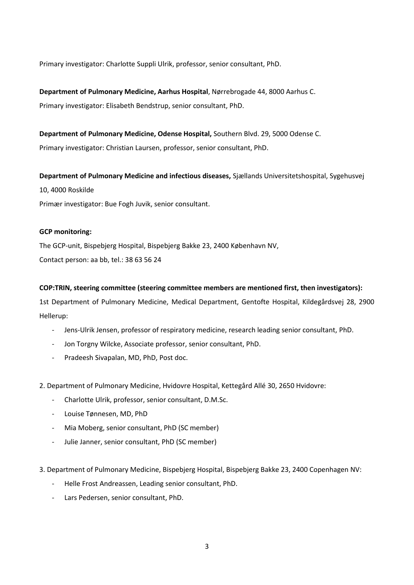Primary investigator: Charlotte Suppli Ulrik, professor, senior consultant, PhD.

**Department of Pulmonary Medicine, Aarhus Hospital**, Nørrebrogade 44, 8000 Aarhus C. Primary investigator: Elisabeth Bendstrup, senior consultant, PhD.

**Department of Pulmonary Medicine, Odense Hospital,** Southern Blvd. 29, 5000 Odense C. Primary investigator: Christian Laursen, professor, senior consultant, PhD.

**Department of Pulmonary Medicine and infectious diseases,** Sjællands Universitetshospital, Sygehusvej 10, 4000 Roskilde Primær investigator: Bue Fogh Juvik, senior consultant.

## **GCP monitoring:**

The GCP-unit, Bispebjerg Hospital, Bispebjerg Bakke 23, 2400 København NV, Contact person: aa bb, tel.: 38 63 56 24

## **COP:TRIN, steering committee (steering committee members are mentioned first, then investigators):**

1st Department of Pulmonary Medicine, Medical Department, Gentofte Hospital, Kildegårdsvej 28, 2900 Hellerup:

- Jens-Ulrik Jensen, professor of respiratory medicine, research leading senior consultant, PhD.
- Jon Torgny Wilcke, Associate professor, senior consultant, PhD.
- Pradeesh Sivapalan, MD, PhD, Post doc.
- 2. Department of Pulmonary Medicine, Hvidovre Hospital, Kettegård Allé 30, 2650 Hvidovre:
	- Charlotte Ulrik, professor, senior consultant, D.M.Sc.
	- Louise Tønnesen, MD, PhD
	- Mia Moberg, senior consultant, PhD (SC member)
	- Julie Janner, senior consultant, PhD (SC member)
- 3. Department of Pulmonary Medicine, Bispebjerg Hospital, Bispebjerg Bakke 23, 2400 Copenhagen NV:
	- Helle Frost Andreassen, Leading senior consultant, PhD.
	- Lars Pedersen, senior consultant, PhD.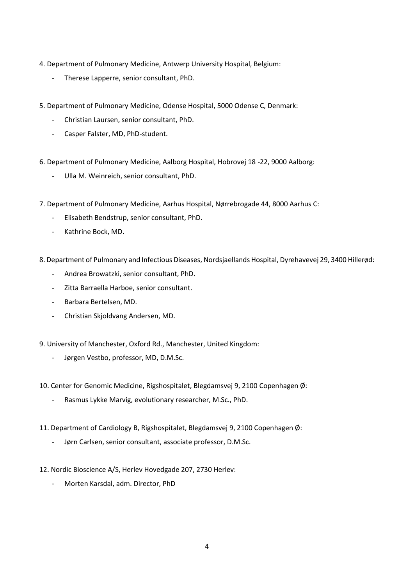- 4. Department of Pulmonary Medicine, Antwerp University Hospital, Belgium:
	- Therese Lapperre, senior consultant, PhD.
- 5. Department of Pulmonary Medicine, Odense Hospital, 5000 Odense C, Denmark:
	- Christian Laursen, senior consultant, PhD.
	- Casper Falster, MD, PhD-student.
- 6. Department of Pulmonary Medicine, Aalborg Hospital, Hobrovej 18 -22, 9000 Aalborg:
	- Ulla M. Weinreich, senior consultant, PhD.
- 7. Department of Pulmonary Medicine, Aarhus Hospital, Nørrebrogade 44, 8000 Aarhus C:
	- Elisabeth Bendstrup, senior consultant, PhD.
	- Kathrine Bock, MD.
- 8. Department of Pulmonary and Infectious Diseases, Nordsjaellands Hospital, Dyrehavevej 29, 3400 Hillerød:
	- Andrea Browatzki, senior consultant, PhD.
	- Zitta Barraella Harboe, senior consultant.
	- Barbara Bertelsen, MD.
	- Christian Skjoldvang Andersen, MD.
- 9. University of Manchester, Oxford Rd., Manchester, United Kingdom:
	- Jørgen Vestbo, professor, MD, D.M.Sc.
- 10. Center for Genomic Medicine, Rigshospitalet, Blegdamsvej 9, 2100 Copenhagen Ø:
	- Rasmus Lykke Marvig, evolutionary researcher, M.Sc., PhD.
- 11. Department of Cardiology B, Rigshospitalet, Blegdamsvej 9, 2100 Copenhagen Ø:
	- Jørn Carlsen, senior consultant, associate professor, D.M.Sc.
- 12. Nordic Bioscience A/S, Herlev Hovedgade 207, 2730 Herlev:
	- Morten Karsdal, adm. Director, PhD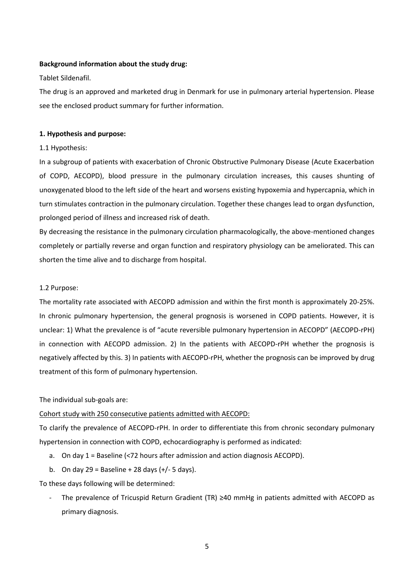#### **Background information about the study drug:**

#### Tablet Sildenafil.

The drug is an approved and marketed drug in Denmark for use in pulmonary arterial hypertension. Please see the enclosed product summary for further information.

#### **1. Hypothesis and purpose:**

## 1.1 Hypothesis:

In a subgroup of patients with exacerbation of Chronic Obstructive Pulmonary Disease (Acute Exacerbation of COPD, AECOPD), blood pressure in the pulmonary circulation increases, this causes shunting of unoxygenated blood to the left side of the heart and worsens existing hypoxemia and hypercapnia, which in turn stimulates contraction in the pulmonary circulation. Together these changes lead to organ dysfunction, prolonged period of illness and increased risk of death.

By decreasing the resistance in the pulmonary circulation pharmacologically, the above-mentioned changes completely or partially reverse and organ function and respiratory physiology can be ameliorated. This can shorten the time alive and to discharge from hospital.

#### 1.2 Purpose:

The mortality rate associated with AECOPD admission and within the first month is approximately 20-25%. In chronic pulmonary hypertension, the general prognosis is worsened in COPD patients. However, it is unclear: 1) What the prevalence is of "acute reversible pulmonary hypertension in AECOPD" (AECOPD-rPH) in connection with AECOPD admission. 2) In the patients with AECOPD-rPH whether the prognosis is negatively affected by this. 3) In patients with AECOPD-rPH, whether the prognosis can be improved by drug treatment of this form of pulmonary hypertension.

#### The individual sub-goals are:

#### Cohort study with 250 consecutive patients admitted with AECOPD:

To clarify the prevalence of AECOPD-rPH. In order to differentiate this from chronic secondary pulmonary hypertension in connection with COPD, echocardiography is performed as indicated:

- a. On day 1 = Baseline (<72 hours after admission and action diagnosis AECOPD).
- b. On day  $29 =$  Baseline + 28 days  $(+/- 5$  days).

To these days following will be determined:

The prevalence of Tricuspid Return Gradient (TR) ≥40 mmHg in patients admitted with AECOPD as primary diagnosis.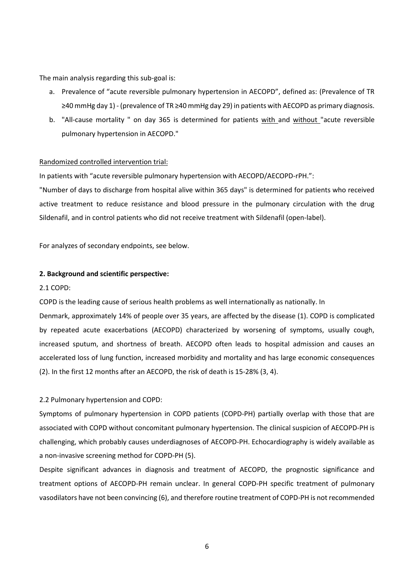The main analysis regarding this sub-goal is:

- a. Prevalence of "acute reversible pulmonary hypertension in AECOPD", defined as: (Prevalence of TR ≥40 mmHg day 1) - (prevalence of TR ≥40 mmHg day 29) in patients with AECOPD as primary diagnosis.
- b. "All-cause mortality " on day 365 is determined for patients with and without "acute reversible pulmonary hypertension in AECOPD."

## Randomized controlled intervention trial:

In patients with "acute reversible pulmonary hypertension with AECOPD/AECOPD-rPH.":

"Number of days to discharge from hospital alive within 365 days" is determined for patients who received active treatment to reduce resistance and blood pressure in the pulmonary circulation with the drug Sildenafil, and in control patients who did not receive treatment with Sildenafil (open-label).

For analyzes of secondary endpoints, see below.

#### **2. Background and scientific perspective:**

#### 2.1 COPD:

COPD is the leading cause of serious health problems as well internationally as nationally. In

Denmark, approximately 14% of people over 35 years, are affected by the disease (1). COPD is complicated by repeated acute exacerbations (AECOPD) characterized by worsening of symptoms, usually cough, increased sputum, and shortness of breath. AECOPD often leads to hospital admission and causes an accelerated loss of lung function, increased morbidity and mortality and has large economic consequences (2). In the first 12 months after an AECOPD, the risk of death is 15-28% (3, 4).

#### 2.2 Pulmonary hypertension and COPD:

Symptoms of pulmonary hypertension in COPD patients (COPD-PH) partially overlap with those that are associated with COPD without concomitant pulmonary hypertension. The clinical suspicion of AECOPD-PH is challenging, which probably causes underdiagnoses of AECOPD-PH. Echocardiography is widely available as a non-invasive screening method for COPD-PH (5).

Despite significant advances in diagnosis and treatment of AECOPD, the prognostic significance and treatment options of AECOPD-PH remain unclear. In general COPD-PH specific treatment of pulmonary vasodilators have not been convincing (6), and therefore routine treatment of COPD-PH is not recommended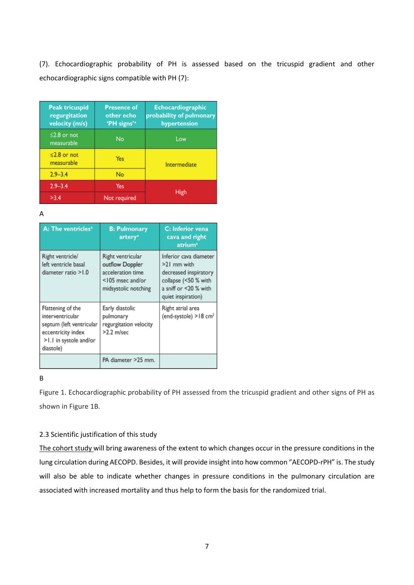(7). Echocardiographic probability of PH is assessed based on the tricuspid gradient and other echocardiographic signs compatible with PH (7):

| <b>Peak tricuspid</b><br>regurgitation<br>velocity (m/s) | <b>Presence of</b><br>other echo<br>'PH signs' <sup>a</sup> | <b>Echocardiographic</b><br>probability of pulmonary<br>hypertension |  |
|----------------------------------------------------------|-------------------------------------------------------------|----------------------------------------------------------------------|--|
| $\leq$ 2.8 or not<br>measurable                          | No                                                          | Low                                                                  |  |
| $<$ 2.8 or not<br>measurable                             | Yes                                                         | Intermediate                                                         |  |
| $2.9 - 3.4$                                              | No                                                          |                                                                      |  |
| $2.9 - 3.4$                                              | Yes                                                         | High                                                                 |  |
| >3.4                                                     | Not required                                                |                                                                      |  |

A

| A: The ventricles <sup>a</sup>                                                                                                 | <b>B: Pulmonary</b><br>artery <sup>a</sup>                                                            | C: Inferior vena<br>cava and right<br>atrium <sup>a</sup>                                                                             |
|--------------------------------------------------------------------------------------------------------------------------------|-------------------------------------------------------------------------------------------------------|---------------------------------------------------------------------------------------------------------------------------------------|
| Right ventricle/<br>left ventricle basal<br>diameter ratio >1.0                                                                | Right ventricular<br>outflow Doppler<br>acceleration time<br><105 msec and/or<br>midsystolic notching | Inferior cava diameter<br>>21 mm with<br>decreased inspiratory<br>collapse (<50 % with<br>a sniff or <20 % with<br>quiet inspiration) |
| Flattening of the<br>interventricular<br>septum (left ventricular<br>eccentricity index<br>>1.1 in systole and/or<br>diastole) | Early diastolic<br>pulmonary<br>regurgitation velocity<br>>2.2 m/sec                                  | Right atrial area<br>(end-systole) >18 cm <sup>2</sup>                                                                                |
|                                                                                                                                | PA diameter >25 mm.                                                                                   |                                                                                                                                       |

## B

Figure 1. Echocardiographic probability of PH assessed from the tricuspid gradient and other signs of PH as shown in Figure 1B.

## 2.3 Scientific justification of this study

The cohort study will bring awareness of the extent to which changes occur in the pressure conditions in the lung circulation during AECOPD. Besides, it will provide insight into how common "AECOPD-rPH" is. The study will also be able to indicate whether changes in pressure conditions in the pulmonary circulation are associated with increased mortality and thus help to form the basis for the randomized trial.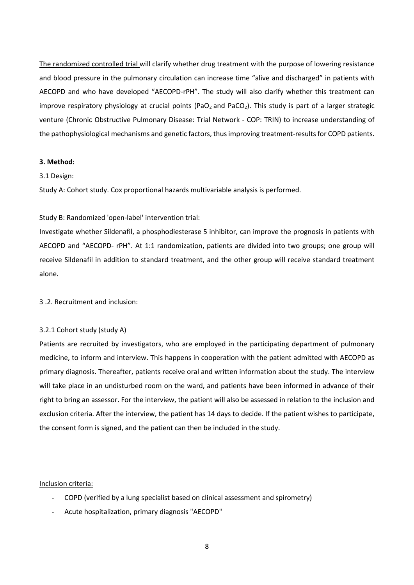The randomized controlled trial will clarify whether drug treatment with the purpose of lowering resistance and blood pressure in the pulmonary circulation can increase time "alive and discharged" in patients with AECOPD and who have developed "AECOPD-rPH". The study will also clarify whether this treatment can improve respiratory physiology at crucial points (PaO<sub>2</sub> and PaCO<sub>2</sub>). This study is part of a larger strategic venture (Chronic Obstructive Pulmonary Disease: Trial Network - COP: TRIN) to increase understanding of the pathophysiological mechanisms and genetic factors, thus improving treatment-results for COPD patients.

#### **3. Method:**

## 3.1 Design:

Study A: Cohort study. Cox proportional hazards multivariable analysis is performed.

## Study B: Randomized 'open-label' intervention trial:

Investigate whether Sildenafil, a phosphodiesterase 5 inhibitor, can improve the prognosis in patients with AECOPD and "AECOPD- rPH". At 1:1 randomization, patients are divided into two groups; one group will receive Sildenafil in addition to standard treatment, and the other group will receive standard treatment alone.

3 .2. Recruitment and inclusion:

## 3.2.1 Cohort study (study A)

Patients are recruited by investigators, who are employed in the participating department of pulmonary medicine, to inform and interview. This happens in cooperation with the patient admitted with AECOPD as primary diagnosis. Thereafter, patients receive oral and written information about the study. The interview will take place in an undisturbed room on the ward, and patients have been informed in advance of their right to bring an assessor. For the interview, the patient will also be assessed in relation to the inclusion and exclusion criteria. After the interview, the patient has 14 days to decide. If the patient wishes to participate, the consent form is signed, and the patient can then be included in the study.

#### Inclusion criteria:

- COPD (verified by a lung specialist based on clinical assessment and spirometry)
- Acute hospitalization, primary diagnosis "AECOPD"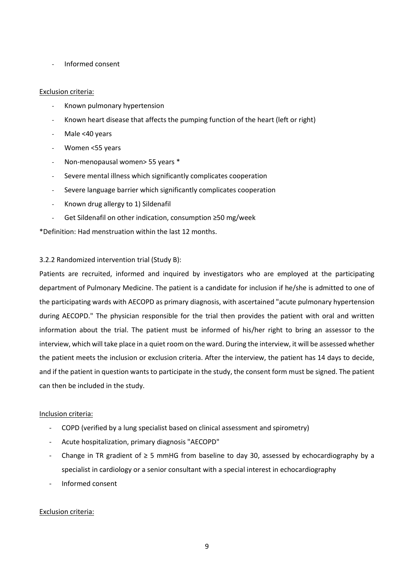- Informed consent

## Exclusion criteria:

- Known pulmonary hypertension
- Known heart disease that affects the pumping function of the heart (left or right)
- Male <40 years
- Women <55 years
- Non-menopausal women> 55 years \*
- Severe mental illness which significantly complicates cooperation
- Severe language barrier which significantly complicates cooperation
- Known drug allergy to 1) Sildenafil
- Get Sildenafil on other indication, consumption ≥50 mg/week

\*Definition: Had menstruation within the last 12 months.

## 3.2.2 Randomized intervention trial (Study B):

Patients are recruited, informed and inquired by investigators who are employed at the participating department of Pulmonary Medicine. The patient is a candidate for inclusion if he/she is admitted to one of the participating wards with AECOPD as primary diagnosis, with ascertained "acute pulmonary hypertension during AECOPD." The physician responsible for the trial then provides the patient with oral and written information about the trial. The patient must be informed of his/her right to bring an assessor to the interview, which will take place in a quiet room on the ward. During the interview, it will be assessed whether the patient meets the inclusion or exclusion criteria. After the interview, the patient has 14 days to decide, and if the patient in question wants to participate in the study, the consent form must be signed. The patient can then be included in the study.

## Inclusion criteria:

- COPD (verified by a lung specialist based on clinical assessment and spirometry)
- Acute hospitalization, primary diagnosis "AECOPD"
- Change in TR gradient of  $\geq$  5 mmHG from baseline to day 30, assessed by echocardiography by a specialist in cardiology or a senior consultant with a special interest in echocardiography
- Informed consent

## Exclusion criteria: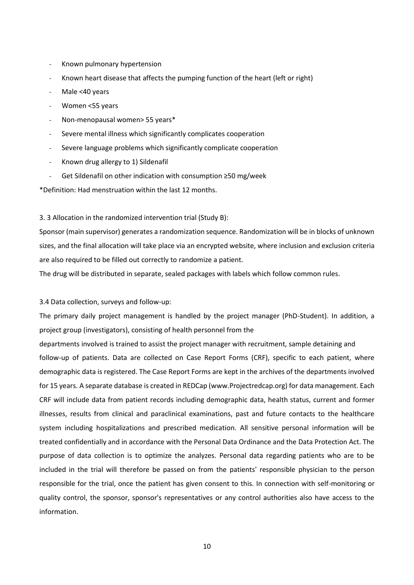- Known pulmonary hypertension
- Known heart disease that affects the pumping function of the heart (left or right)
- Male <40 years
- Women <55 years
- Non-menopausal women> 55 years\*
- Severe mental illness which significantly complicates cooperation
- Severe language problems which significantly complicate cooperation
- Known drug allergy to 1) Sildenafil
- Get Sildenafil on other indication with consumption ≥50 mg/week

\*Definition: Had menstruation within the last 12 months.

3. 3 Allocation in the randomized intervention trial (Study B):

Sponsor (main supervisor) generates a randomization sequence. Randomization will be in blocks of unknown sizes, and the final allocation will take place via an encrypted website, where inclusion and exclusion criteria are also required to be filled out correctly to randomize a patient.

The drug will be distributed in separate, sealed packages with labels which follow common rules.

#### 3.4 Data collection, surveys and follow-up:

The primary daily project management is handled by the project manager (PhD-Student). In addition, a project group (investigators), consisting of health personnel from the

departments involved is trained to assist the project manager with recruitment, sample detaining and follow-up of patients. Data are collected on Case Report Forms (CRF), specific to each patient, where demographic data is registered. The Case Report Forms are kept in the archives of the departments involved for 15 years. A separate database is created in REDCap (www.Projectredcap.org) for data management. Each CRF will include data from patient records including demographic data, health status, current and former illnesses, results from clinical and paraclinical examinations, past and future contacts to the healthcare system including hospitalizations and prescribed medication. All sensitive personal information will be treated confidentially and in accordance with the Personal Data Ordinance and the Data Protection Act. The purpose of data collection is to optimize the analyzes. Personal data regarding patients who are to be included in the trial will therefore be passed on from the patients' responsible physician to the person responsible for the trial, once the patient has given consent to this. In connection with self-monitoring or quality control, the sponsor, sponsor's representatives or any control authorities also have access to the information.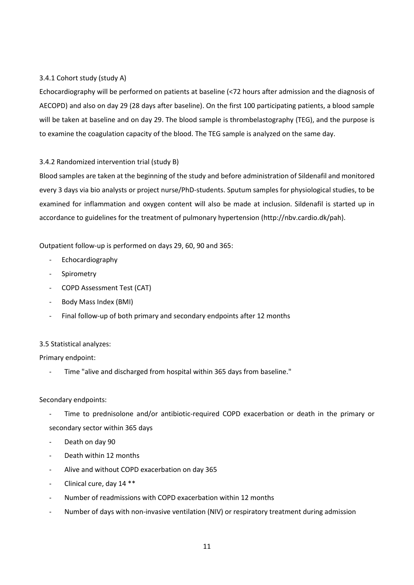## 3.4.1 Cohort study (study A)

Echocardiography will be performed on patients at baseline (<72 hours after admission and the diagnosis of AECOPD) and also on day 29 (28 days after baseline). On the first 100 participating patients, a blood sample will be taken at baseline and on day 29. The blood sample is thrombelastography (TEG), and the purpose is to examine the coagulation capacity of the blood. The TEG sample is analyzed on the same day.

## 3.4.2 Randomized intervention trial (study B)

Blood samples are taken at the beginning of the study and before administration of Sildenafil and monitored every 3 days via bio analysts or project nurse/PhD-students. Sputum samples for physiological studies, to be examined for inflammation and oxygen content will also be made at inclusion. Sildenafil is started up in accordance to guidelines for the treatment of pulmonary hypertension (http://nbv.cardio.dk/pah).

Outpatient follow-up is performed on days 29, 60, 90 and 365:

- **Echocardiography**
- **Spirometry**
- COPD Assessment Test (CAT)
- Body Mass Index (BMI)
- Final follow-up of both primary and secondary endpoints after 12 months

## 3.5 Statistical analyzes:

Primary endpoint:

Time "alive and discharged from hospital within 365 days from baseline."

## Secondary endpoints:

- Time to prednisolone and/or antibiotic-required COPD exacerbation or death in the primary or secondary sector within 365 days
- Death on day 90
- Death within 12 months
- Alive and without COPD exacerbation on day 365
- Clinical cure, day 14 \*\*
- Number of readmissions with COPD exacerbation within 12 months
- Number of days with non-invasive ventilation (NIV) or respiratory treatment during admission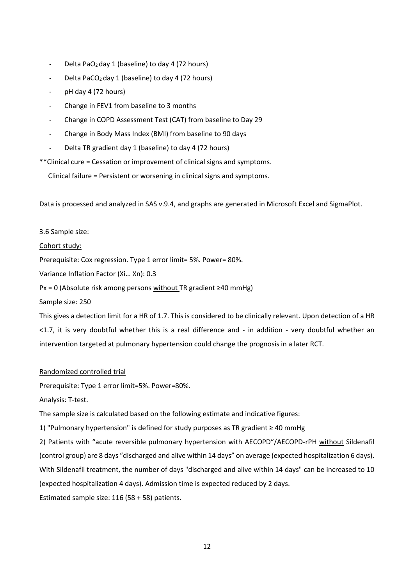- Delta PaO<sub>2</sub> day 1 (baseline) to day 4 (72 hours)
- Delta PaCO<sub>2</sub> day 1 (baseline) to day 4 (72 hours)
- pH day 4 (72 hours)
- Change in FEV1 from baseline to 3 months
- Change in COPD Assessment Test (CAT) from baseline to Day 29
- Change in Body Mass Index (BMI) from baseline to 90 days
- Delta TR gradient day 1 (baseline) to day 4 (72 hours)

\*\*Clinical cure = Cessation or improvement of clinical signs and symptoms.

Clinical failure = Persistent or worsening in clinical signs and symptoms.

Data is processed and analyzed in SAS v.9.4, and graphs are generated in Microsoft Excel and SigmaPlot.

## 3.6 Sample size:

## Cohort study:

Prerequisite: Cox regression. Type 1 error limit= 5%. Power= 80%.

Variance Inflation Factor (Xi… Xn): 0.3

Px = 0 (Absolute risk among persons without TR gradient ≥40 mmHg)

Sample size: 250

This gives a detection limit for a HR of 1.7. This is considered to be clinically relevant. Upon detection of a HR <1.7, it is very doubtful whether this is a real difference and - in addition - very doubtful whether an intervention targeted at pulmonary hypertension could change the prognosis in a later RCT.

## Randomized controlled trial

Prerequisite: Type 1 error limit=5%. Power=80%.

Analysis: T-test.

The sample size is calculated based on the following estimate and indicative figures:

1) "Pulmonary hypertension" is defined for study purposes as TR gradient ≥ 40 mmHg

2) Patients with "acute reversible pulmonary hypertension with AECOPD"/AECOPD-rPH without Sildenafil (control group) are 8 days "discharged and alive within 14 days" on average (expected hospitalization 6 days). With Sildenafil treatment, the number of days "discharged and alive within 14 days" can be increased to 10 (expected hospitalization 4 days). Admission time is expected reduced by 2 days.

Estimated sample size: 116 (58 + 58) patients.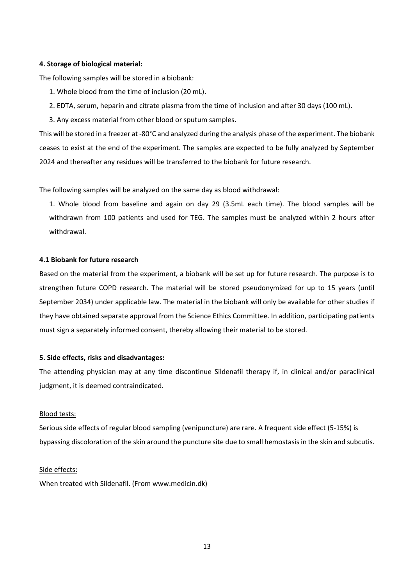#### **4. Storage of biological material:**

The following samples will be stored in a biobank:

- 1. Whole blood from the time of inclusion (20 mL).
- 2. EDTA, serum, heparin and citrate plasma from the time of inclusion and after 30 days (100 mL).
- 3. Any excess material from other blood or sputum samples.

This will be stored in a freezer at -80°C and analyzed during the analysis phase of the experiment. The biobank ceases to exist at the end of the experiment. The samples are expected to be fully analyzed by September 2024 and thereafter any residues will be transferred to the biobank for future research.

The following samples will be analyzed on the same day as blood withdrawal:

1. Whole blood from baseline and again on day 29 (3.5mL each time). The blood samples will be withdrawn from 100 patients and used for TEG. The samples must be analyzed within 2 hours after withdrawal.

#### **4.1 Biobank for future research**

Based on the material from the experiment, a biobank will be set up for future research. The purpose is to strengthen future COPD research. The material will be stored pseudonymized for up to 15 years (until September 2034) under applicable law. The material in the biobank will only be available for other studies if they have obtained separate approval from the Science Ethics Committee. In addition, participating patients must sign a separately informed consent, thereby allowing their material to be stored.

#### **5. Side effects, risks and disadvantages:**

The attending physician may at any time discontinue Sildenafil therapy if, in clinical and/or paraclinical judgment, it is deemed contraindicated.

## Blood tests:

Serious side effects of regular blood sampling (venipuncture) are rare. A frequent side effect (5-15%) is bypassing discoloration of the skin around the puncture site due to small hemostasis in the skin and subcutis.

#### Side effects:

When treated with Sildenafil. (From www.medicin.dk)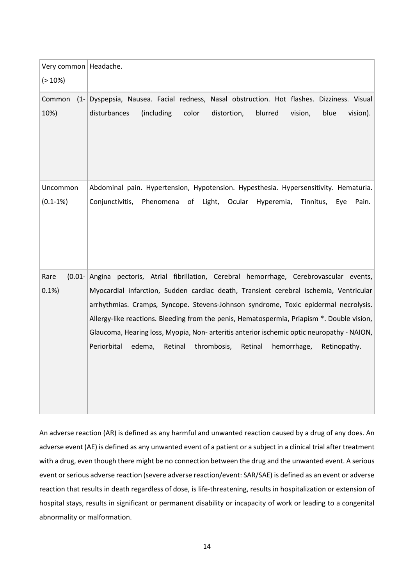| Very common   Headache.<br>$(>10\%)$ |                                                                                                                                                                                                                                                                                                                                                                                                                                                                                                                                                               |
|--------------------------------------|---------------------------------------------------------------------------------------------------------------------------------------------------------------------------------------------------------------------------------------------------------------------------------------------------------------------------------------------------------------------------------------------------------------------------------------------------------------------------------------------------------------------------------------------------------------|
| Common<br>10%)                       | (1- Dyspepsia, Nausea. Facial redness, Nasal obstruction. Hot flashes. Dizziness. Visual<br>(including<br>blue<br>disturbances<br>color<br>distortion,<br>blurred<br>vision,<br>vision).                                                                                                                                                                                                                                                                                                                                                                      |
| Uncommon<br>$(0.1 - 1\%)$            | Abdominal pain. Hypertension, Hypotension. Hypesthesia. Hypersensitivity. Hematuria.<br>Ocular<br>Conjunctivitis,<br>Phenomena<br>Light,<br>Hyperemia,<br>Tinnitus,<br>Pain.<br>of<br>Eye                                                                                                                                                                                                                                                                                                                                                                     |
| $(0.01 -$<br>Rare<br>0.1%            | pectoris, Atrial fibrillation, Cerebral hemorrhage, Cerebrovascular events,<br>Angina<br>Myocardial infarction, Sudden cardiac death, Transient cerebral ischemia, Ventricular<br>arrhythmias. Cramps, Syncope. Stevens-Johnson syndrome, Toxic epidermal necrolysis.<br>Allergy-like reactions. Bleeding from the penis, Hematospermia, Priapism *. Double vision,<br>Glaucoma, Hearing loss, Myopia, Non-arteritis anterior ischemic optic neuropathy - NAION,<br>Periorbital<br>edema,<br>Retinal<br>thrombosis,<br>Retinal<br>hemorrhage,<br>Retinopathy. |

An adverse reaction (AR) is defined as any harmful and unwanted reaction caused by a drug of any does. An adverse event (AE) is defined as any unwanted event of a patient or a subject in a clinical trial after treatment with a drug, even though there might be no connection between the drug and the unwanted event. A serious event or serious adverse reaction (severe adverse reaction/event: SAR/SAE) is defined as an event or adverse reaction that results in death regardless of dose, is life-threatening, results in hospitalization or extension of hospital stays, results in significant or permanent disability or incapacity of work or leading to a congenital abnormality or malformation.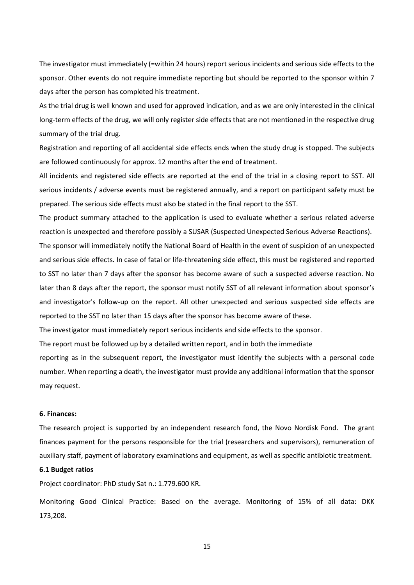The investigator must immediately (=within 24 hours) report serious incidents and serious side effects to the sponsor. Other events do not require immediate reporting but should be reported to the sponsor within 7 days after the person has completed his treatment.

As the trial drug is well known and used for approved indication, and as we are only interested in the clinical long-term effects of the drug, we will only register side effects that are not mentioned in the respective drug summary of the trial drug.

Registration and reporting of all accidental side effects ends when the study drug is stopped. The subjects are followed continuously for approx. 12 months after the end of treatment.

All incidents and registered side effects are reported at the end of the trial in a closing report to SST. All serious incidents / adverse events must be registered annually, and a report on participant safety must be prepared. The serious side effects must also be stated in the final report to the SST.

The product summary attached to the application is used to evaluate whether a serious related adverse reaction is unexpected and therefore possibly a SUSAR (Suspected Unexpected Serious Adverse Reactions).

The sponsor will immediately notify the National Board of Health in the event of suspicion of an unexpected and serious side effects. In case of fatal or life-threatening side effect, this must be registered and reported to SST no later than 7 days after the sponsor has become aware of such a suspected adverse reaction. No later than 8 days after the report, the sponsor must notify SST of all relevant information about sponsor's and investigator's follow-up on the report. All other unexpected and serious suspected side effects are reported to the SST no later than 15 days after the sponsor has become aware of these.

The investigator must immediately report serious incidents and side effects to the sponsor.

The report must be followed up by a detailed written report, and in both the immediate

reporting as in the subsequent report, the investigator must identify the subjects with a personal code number. When reporting a death, the investigator must provide any additional information that the sponsor may request.

## **6. Finances:**

The research project is supported by an independent research fond, the Novo Nordisk Fond. The grant finances payment for the persons responsible for the trial (researchers and supervisors), remuneration of auxiliary staff, payment of laboratory examinations and equipment, as well as specific antibiotic treatment.

#### **6.1 Budget ratios**

Project coordinator: PhD study Sat n.: 1.779.600 KR.

Monitoring Good Clinical Practice: Based on the average. Monitoring of 15% of all data: DKK 173,208.

15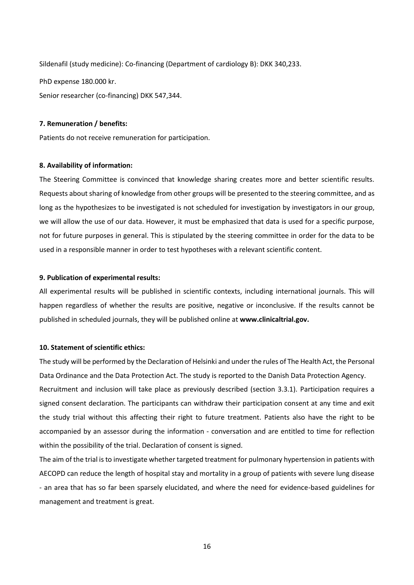Sildenafil (study medicine): Co-financing (Department of cardiology B): DKK 340,233. PhD expense 180.000 kr. Senior researcher (co-financing) DKK 547,344.

#### **7. Remuneration / benefits:**

Patients do not receive remuneration for participation.

#### **8. Availability of information:**

The Steering Committee is convinced that knowledge sharing creates more and better scientific results. Requests about sharing of knowledge from other groups will be presented to the steering committee, and as long as the hypothesizes to be investigated is not scheduled for investigation by investigators in our group, we will allow the use of our data. However, it must be emphasized that data is used for a specific purpose, not for future purposes in general. This is stipulated by the steering committee in order for the data to be used in a responsible manner in order to test hypotheses with a relevant scientific content.

## **9. Publication of experimental results:**

All experimental results will be published in scientific contexts, including international journals. This will happen regardless of whether the results are positive, negative or inconclusive. If the results cannot be published in scheduled journals, they will be published online at **www.clinicaltrial.gov.**

## **10. Statement of scientific ethics:**

The study will be performed by the Declaration of Helsinki and under the rules of The Health Act, the Personal Data Ordinance and the Data Protection Act. The study is reported to the Danish Data Protection Agency. Recruitment and inclusion will take place as previously described (section 3.3.1). Participation requires a signed consent declaration. The participants can withdraw their participation consent at any time and exit the study trial without this affecting their right to future treatment. Patients also have the right to be accompanied by an assessor during the information - conversation and are entitled to time for reflection within the possibility of the trial. Declaration of consent is signed.

The aim of the trial is to investigate whether targeted treatment for pulmonary hypertension in patients with AECOPD can reduce the length of hospital stay and mortality in a group of patients with severe lung disease - an area that has so far been sparsely elucidated, and where the need for evidence-based guidelines for management and treatment is great.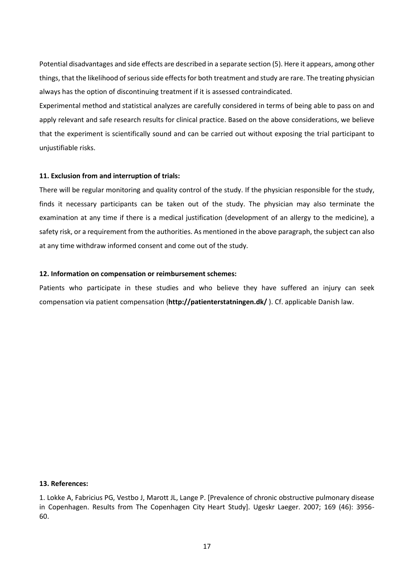Potential disadvantages and side effects are described in a separate section (5). Here it appears, among other things, that the likelihood of serious side effects for both treatment and study are rare. The treating physician always has the option of discontinuing treatment if it is assessed contraindicated.

Experimental method and statistical analyzes are carefully considered in terms of being able to pass on and apply relevant and safe research results for clinical practice. Based on the above considerations, we believe that the experiment is scientifically sound and can be carried out without exposing the trial participant to unjustifiable risks.

## **11. Exclusion from and interruption of trials:**

There will be regular monitoring and quality control of the study. If the physician responsible for the study, finds it necessary participants can be taken out of the study. The physician may also terminate the examination at any time if there is a medical justification (development of an allergy to the medicine), a safety risk, or a requirement from the authorities. As mentioned in the above paragraph, the subject can also at any time withdraw informed consent and come out of the study.

## **12. Information on compensation or reimbursement schemes:**

Patients who participate in these studies and who believe they have suffered an injury can seek compensation via patient compensation (**http://patienterstatningen.dk/** ). Cf. applicable Danish law.

#### **13. References:**

1. Lokke A, Fabricius PG, Vestbo J, Marott JL, Lange P. [Prevalence of chronic obstructive pulmonary disease in Copenhagen. Results from The Copenhagen City Heart Study]. Ugeskr Laeger. 2007; 169 (46): 3956- 60.